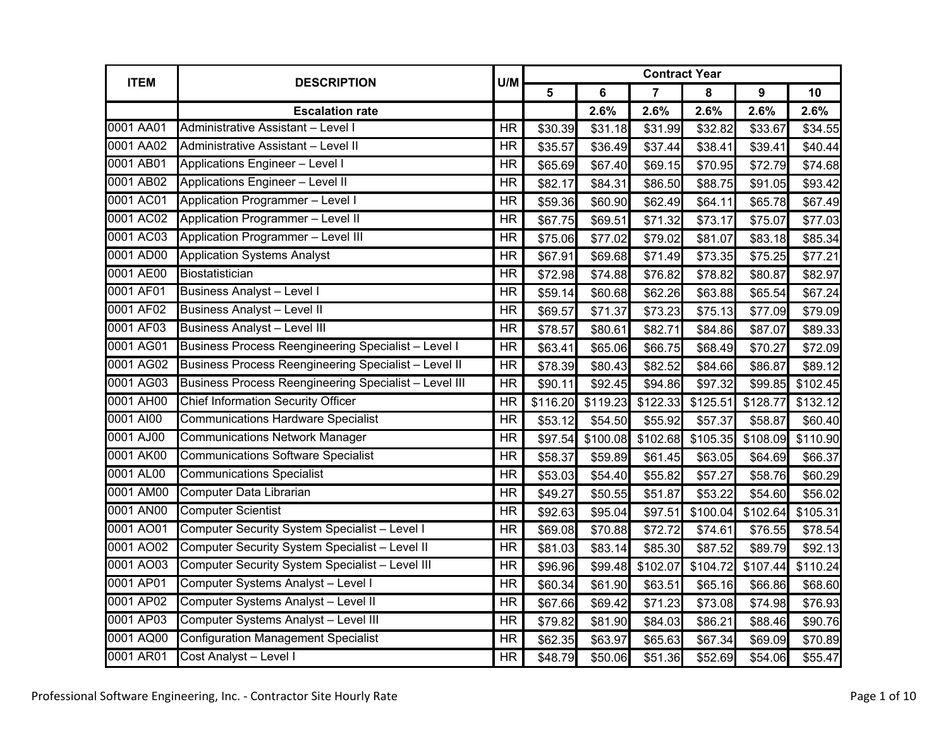| <b>ITEM</b> | <b>DESCRIPTION</b>                                           | U/M                      | <b>Contract Year</b> |          |                |          |          |          |  |
|-------------|--------------------------------------------------------------|--------------------------|----------------------|----------|----------------|----------|----------|----------|--|
|             |                                                              |                          | 5                    | 6        | $\overline{7}$ | 8        | 9        | 10       |  |
|             | <b>Escalation rate</b>                                       |                          |                      | 2.6%     | 2.6%           | 2.6%     | 2.6%     | 2.6%     |  |
| 0001 AA01   | Administrative Assistant - Level I                           | <b>HR</b>                | \$30.39              | \$31.18  | \$31.99        | \$32.82  | \$33.67  | \$34.55  |  |
| 0001 AA02   | Administrative Assistant - Level II                          | <b>HR</b>                | \$35.57              | \$36.49  | \$37.44        | \$38.41  | \$39.41  | \$40.44  |  |
| 0001 AB01   | Applications Engineer - Level I                              | <b>HR</b>                | \$65.69              | \$67.40  | \$69.15        | \$70.95  | \$72.79  | \$74.68  |  |
| 0001 AB02   | Applications Engineer - Level II                             | $\overline{\mathsf{HR}}$ | \$82.17              | \$84.31  | \$86.50        | \$88.75  | \$91.05  | \$93.42  |  |
| 0001 AC01   | <b>Application Programmer - Level I</b>                      | <b>HR</b>                | \$59.36              | \$60.90  | \$62.49        | \$64.11  | \$65.78  | \$67.49  |  |
| 0001 AC02   | <b>Application Programmer - Level II</b>                     | <b>HR</b>                | \$67.75              | \$69.51  | \$71.32        | \$73.17  | \$75.07  | \$77.03  |  |
| 0001 AC03   | Application Programmer - Level III                           | <b>HR</b>                | \$75.06              | \$77.02  | \$79.02        | \$81.07  | \$83.18  | \$85.34  |  |
| 0001 AD00   | <b>Application Systems Analyst</b>                           | $\overline{HR}$          | \$67.91              | \$69.68  | \$71.49        | \$73.35  | \$75.25  | \$77.21  |  |
| 0001 AE00   | Biostatistician                                              | <b>HR</b>                | \$72.98              | \$74.88  | \$76.82        | \$78.82  | \$80.87  | \$82.97  |  |
| 0001 AF01   | Business Analyst - Level I                                   | <b>HR</b>                | \$59.14              | \$60.68  | \$62.26        | \$63.88  | \$65.54  | \$67.24  |  |
| 0001 AF02   | <b>Business Analyst - Level II</b>                           | <b>HR</b>                | \$69.57              | \$71.37  | \$73.23        | \$75.13  | \$77.09  | \$79.09  |  |
| 0001 AF03   | <b>Business Analyst - Level III</b>                          | <b>HR</b>                | \$78.57              | \$80.61  | \$82.71        | \$84.86  | \$87.07  | \$89.33  |  |
| 0001 AG01   | <b>Business Process Reengineering Specialist - Level I</b>   | <b>HR</b>                | \$63.41              | \$65.06  | \$66.75        | \$68.49  | \$70.27  | \$72.09  |  |
| 0001 AG02   | Business Process Reengineering Specialist - Level II         | HR                       | \$78.39              | \$80.43  | \$82.52        | \$84.66  | \$86.87  | \$89.12  |  |
| 0001 AG03   | <b>Business Process Reengineering Specialist - Level III</b> | <b>HR</b>                | \$90.11              | \$92.45  | \$94.86        | \$97.32  | \$99.85  | \$102.45 |  |
| 0001 AH00   | <b>Chief Information Security Officer</b>                    | <b>HR</b>                | \$116.20             | \$119.23 | \$122.33       | \$125.51 | \$128.77 | \$132.12 |  |
| 0001 AI00   | <b>Communications Hardware Specialist</b>                    | <b>HR</b>                | \$53.12              | \$54.50  | \$55.92        | \$57.37  | \$58.87  | \$60.40  |  |
| 0001 AJ00   | <b>Communications Network Manager</b>                        | <b>HR</b>                | \$97.54              | \$100.08 | \$102.68       | \$105.35 | \$108.09 | \$110.90 |  |
| 0001 AK00   | <b>Communications Software Specialist</b>                    | <b>HR</b>                | \$58.37              | \$59.89  | \$61.45        | \$63.05  | \$64.69  | \$66.37  |  |
| 0001 AL00   | <b>Communications Specialist</b>                             | <b>HR</b>                | \$53.03              | \$54.40  | \$55.82        | \$57.27  | \$58.76  | \$60.29  |  |
| 0001 AM00   | Computer Data Librarian                                      | <b>HR</b>                | \$49.27              | \$50.55  | \$51.87        | \$53.22  | \$54.60  | \$56.02  |  |
| 0001 AN00   | <b>Computer Scientist</b>                                    | <b>HR</b>                | \$92.63              | \$95.04  | \$97.51        | \$100.04 | \$102.64 | \$105.31 |  |
| 0001 AO01   | Computer Security System Specialist - Level I                | <b>HR</b>                | \$69.08              | \$70.88  | \$72.72        | \$74.61  | \$76.55  | \$78.54  |  |
| 0001 AO02   | Computer Security System Specialist - Level II               | <b>HR</b>                | \$81.03              | \$83.14  | \$85.30        | \$87.52  | \$89.79  | \$92.13  |  |
| 0001 AO03   | Computer Security System Specialist - Level III              | <b>HR</b>                | \$96.96              | \$99.48  | \$102.07       | \$104.72 | \$107.44 | \$110.24 |  |
| 0001 AP01   | Computer Systems Analyst - Level I                           | <b>HR</b>                | \$60.34              | \$61.90  | \$63.51        | \$65.16  | \$66.86  | \$68.60  |  |
| 0001 AP02   | Computer Systems Analyst - Level II                          | HR                       | \$67.66              | \$69.42  | \$71.23        | \$73.08  | \$74.98  | \$76.93  |  |
| 0001 AP03   | Computer Systems Analyst - Level III                         | <b>HR</b>                | \$79.82              | \$81.90  | \$84.03        | \$86.21  | \$88.46  | \$90.76  |  |
| 0001 AQ00   | <b>Configuration Management Specialist</b>                   | <b>HR</b>                | \$62.35              | \$63.97  | \$65.63        | \$67.34  | \$69.09  | \$70.89  |  |
| 0001 AR01   | Cost Analyst - Level I                                       | <b>HR</b>                | \$48.79              | \$50.06  | \$51.36        | \$52.69  | \$54.06  | \$55.47  |  |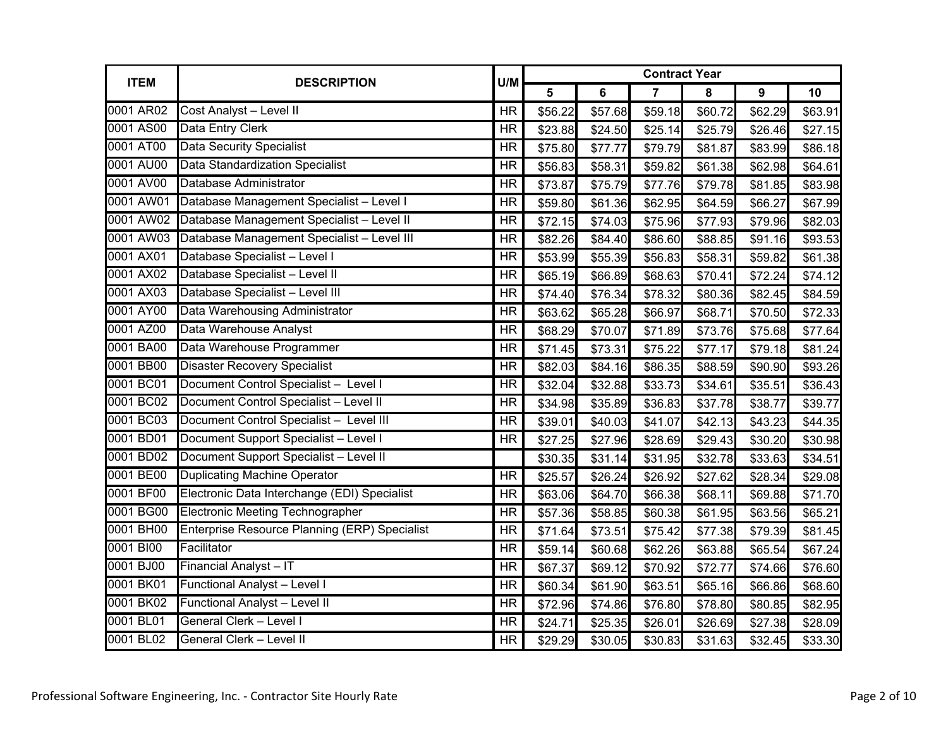|           | <b>ITEM</b><br><b>DESCRIPTION</b>             | U/M                      | <b>Contract Year</b> |         |                |         |         |         |  |
|-----------|-----------------------------------------------|--------------------------|----------------------|---------|----------------|---------|---------|---------|--|
|           |                                               |                          | 5                    | 6       | $\overline{7}$ | 8       | 9       | 10      |  |
| 0001 AR02 | Cost Analyst - Level II                       | <b>HR</b>                | \$56.22              | \$57.68 | \$59.18        | \$60.72 | \$62.29 | \$63.91 |  |
| 0001 AS00 | Data Entry Clerk                              | <b>HR</b>                | \$23.88              | \$24.50 | \$25.14        | \$25.79 | \$26.46 | \$27.15 |  |
| 0001 AT00 | <b>Data Security Specialist</b>               | <b>HR</b>                | \$75.80              | \$77.77 | \$79.79        | \$81.87 | \$83.99 | \$86.18 |  |
| 0001 AU00 | <b>Data Standardization Specialist</b>        | <b>HR</b>                | \$56.83              | \$58.31 | \$59.82        | \$61.38 | \$62.98 | \$64.61 |  |
| 0001 AV00 | Database Administrator                        | <b>HR</b>                | \$73.87              | \$75.79 | \$77.76        | \$79.78 | \$81.85 | \$83.98 |  |
| 0001 AW01 | Database Management Specialist - Level I      | <b>HR</b>                | \$59.80              | \$61.36 | \$62.95        | \$64.59 | \$66.27 | \$67.99 |  |
| 0001 AW02 | Database Management Specialist - Level II     | <b>HR</b>                | \$72.15              | \$74.03 | \$75.96        | \$77.93 | \$79.96 | \$82.03 |  |
| 0001 AW03 | Database Management Specialist - Level III    | <b>HR</b>                | \$82.26              | \$84.40 | \$86.60        | \$88.85 | \$91.16 | \$93.53 |  |
| 0001 AX01 | Database Specialist - Level I                 | <b>HR</b>                | \$53.99              | \$55.39 | \$56.83        | \$58.31 | \$59.82 | \$61.38 |  |
| 0001 AX02 | Database Specialist - Level II                | $\overline{\mathsf{HR}}$ | \$65.19              | \$66.89 | \$68.63        | \$70.41 | \$72.24 | \$74.12 |  |
| 0001 AX03 | Database Specialist - Level III               | <b>HR</b>                | \$74.40              | \$76.34 | \$78.32        | \$80.36 | \$82.45 | \$84.59 |  |
| 0001 AY00 | Data Warehousing Administrator                | <b>HR</b>                | \$63.62              | \$65.28 | \$66.97        | \$68.71 | \$70.50 | \$72.33 |  |
| 0001 AZ00 | Data Warehouse Analyst                        | $\overline{\mathsf{HR}}$ | \$68.29              | \$70.07 | \$71.89        | \$73.76 | \$75.68 | \$77.64 |  |
| 0001 BA00 | Data Warehouse Programmer                     | <b>HR</b>                | \$71.45              | \$73.31 | \$75.22        | \$77.17 | \$79.18 | \$81.24 |  |
| 0001 BB00 | <b>Disaster Recovery Specialist</b>           | <b>HR</b>                | \$82.03              | \$84.16 | \$86.35        | \$88.59 | \$90.90 | \$93.26 |  |
| 0001 BC01 | Document Control Specialist - Level I         | $\overline{\mathsf{HR}}$ | \$32.04              | \$32.88 | \$33.73        | \$34.61 | \$35.51 | \$36.43 |  |
| 0001 BC02 | Document Control Specialist - Level II        | <b>HR</b>                | \$34.98              | \$35.89 | \$36.83        | \$37.78 | \$38.77 | \$39.77 |  |
| 0001 BC03 | Document Control Specialist - Level III       | <b>HR</b>                | \$39.01              | \$40.03 | \$41.07        | \$42.13 | \$43.23 | \$44.35 |  |
| 0001 BD01 | Document Support Specialist - Level I         | $\overline{\mathsf{HR}}$ | \$27.25              | \$27.96 | \$28.69        | \$29.43 | \$30.20 | \$30.98 |  |
| 0001 BD02 | Document Support Specialist - Level II        |                          | \$30.35              | \$31.14 | \$31.95        | \$32.78 | \$33.63 | \$34.51 |  |
| 0001 BE00 | <b>Duplicating Machine Operator</b>           | <b>HR</b>                | \$25.57              | \$26.24 | \$26.92        | \$27.62 | \$28.34 | \$29.08 |  |
| 0001 BF00 | Electronic Data Interchange (EDI) Specialist  | $\overline{\mathsf{HR}}$ | \$63.06              | \$64.70 | \$66.38        | \$68.11 | \$69.88 | \$71.70 |  |
| 0001 BG00 | <b>Electronic Meeting Technographer</b>       | <b>HR</b>                | \$57.36              | \$58.85 | \$60.38        | \$61.95 | \$63.56 | \$65.21 |  |
| 0001 BH00 | Enterprise Resource Planning (ERP) Specialist | <b>HR</b>                | \$71.64              | \$73.51 | \$75.42        | \$77.38 | \$79.39 | \$81.45 |  |
| 0001 BI00 | Facilitator                                   | <b>HR</b>                | \$59.14              | \$60.68 | \$62.26        | \$63.88 | \$65.54 | \$67.24 |  |
| 0001 BJ00 | Financial Analyst - IT                        | <b>HR</b>                | \$67.37              | \$69.12 | \$70.92        | \$72.77 | \$74.66 | \$76.60 |  |
| 0001 BK01 | <b>Functional Analyst - Level I</b>           | <b>HR</b>                | \$60.34              | \$61.90 | \$63.51        | \$65.16 | \$66.86 | \$68.60 |  |
| 0001 BK02 | Functional Analyst - Level II                 | <b>HR</b>                | \$72.96              | \$74.86 | \$76.80        | \$78.80 | \$80.85 | \$82.95 |  |
| 0001 BL01 | <b>General Clerk - Level I</b>                | <b>HR</b>                | \$24.71              | \$25.35 | \$26.01        | \$26.69 | \$27.38 | \$28.09 |  |
| 0001 BL02 | General Clerk - Level II                      | <b>HR</b>                | \$29.29              | \$30.05 | \$30.83        | \$31.63 | \$32.45 | \$33.30 |  |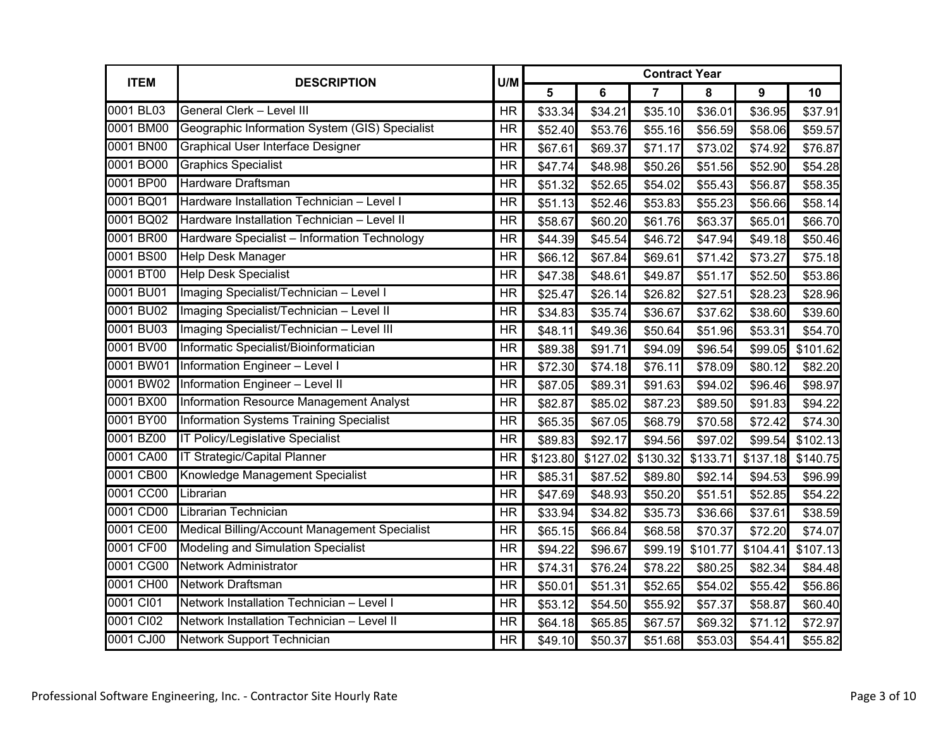|           | <b>ITEM</b><br>U/M<br><b>DESCRIPTION</b>       |                          | <b>Contract Year</b> |          |                |          |          |          |  |  |
|-----------|------------------------------------------------|--------------------------|----------------------|----------|----------------|----------|----------|----------|--|--|
|           |                                                |                          | 5                    | 6        | $\overline{7}$ | 8        | 9        | 10       |  |  |
| 0001 BL03 | <b>General Clerk - Level III</b>               | <b>HR</b>                | \$33.34              | \$34.21  | \$35.10        | \$36.01  | \$36.95  | \$37.91  |  |  |
| 0001 BM00 | Geographic Information System (GIS) Specialist | <b>HR</b>                | \$52.40              | \$53.76  | \$55.16        | \$56.59  | \$58.06  | \$59.57  |  |  |
| 0001 BN00 | <b>Graphical User Interface Designer</b>       | <b>HR</b>                | \$67.61              | \$69.37  | \$71.17        | \$73.02  | \$74.92  | \$76.87  |  |  |
| 0001 BO00 | <b>Graphics Specialist</b>                     | <b>HR</b>                | \$47.74              | \$48.98  | \$50.26        | \$51.56  | \$52.90  | \$54.28  |  |  |
| 0001 BP00 | Hardware Draftsman                             | <b>HR</b>                | \$51.32              | \$52.65  | \$54.02        | \$55.43  | \$56.87  | \$58.35  |  |  |
| 0001 BQ01 | Hardware Installation Technician - Level I     | <b>HR</b>                | \$51.13              | \$52.46  | \$53.83        | \$55.23  | \$56.66  | \$58.14  |  |  |
| 0001 BQ02 | Hardware Installation Technician - Level II    | <b>HR</b>                | \$58.67              | \$60.20  | \$61.76        | \$63.37  | \$65.01  | \$66.70  |  |  |
| 0001 BR00 | Hardware Specialist - Information Technology   | <b>HR</b>                | \$44.39              | \$45.54  | \$46.72        | \$47.94  | \$49.18  | \$50.46  |  |  |
| 0001 BS00 | <b>Help Desk Manager</b>                       | <b>HR</b>                | \$66.12              | \$67.84  | \$69.61        | \$71.42  | \$73.27  | \$75.18  |  |  |
| 0001 BT00 | <b>Help Desk Specialist</b>                    | <b>HR</b>                | \$47.38              | \$48.61  | \$49.87        | \$51.17  | \$52.50  | \$53.86  |  |  |
| 0001 BU01 | Imaging Specialist/Technician - Level I        | <b>HR</b>                | \$25.47              | \$26.14  | \$26.82        | \$27.51  | \$28.23  | \$28.96  |  |  |
| 0001 BU02 | Imaging Specialist/Technician - Level II       | <b>HR</b>                | \$34.83              | \$35.74  | \$36.67        | \$37.62  | \$38.60  | \$39.60  |  |  |
| 0001 BU03 | Imaging Specialist/Technician - Level III      | <b>HR</b>                | \$48.11              | \$49.36  | \$50.64        | \$51.96  | \$53.31  | \$54.70  |  |  |
| 0001 BV00 | Informatic Specialist/Bioinformatician         | <b>HR</b>                | \$89.38              | \$91.71  | \$94.09        | \$96.54  | \$99.05  | \$101.62 |  |  |
| 0001 BW01 | Information Engineer - Level I                 | <b>HR</b>                | \$72.30              | \$74.18  | \$76.11        | \$78.09  | \$80.12  | \$82.20  |  |  |
| 0001 BW02 | Information Engineer - Level II                | $\overline{\mathsf{HR}}$ | \$87.05              | \$89.31  | \$91.63        | \$94.02  | \$96.46  | \$98.97  |  |  |
| 0001 BX00 | Information Resource Management Analyst        | <b>HR</b>                | \$82.87              | \$85.02  | \$87.23        | \$89.50  | \$91.83  | \$94.22  |  |  |
| 0001 BY00 | <b>Information Systems Training Specialist</b> | <b>HR</b>                | \$65.35              | \$67.05  | \$68.79        | \$70.58  | \$72.42  | \$74.30  |  |  |
| 0001 BZ00 | <b>IT Policy/Legislative Specialist</b>        | <b>HR</b>                | \$89.83              | \$92.17  | \$94.56        | \$97.02  | \$99.54  | \$102.13 |  |  |
| 0001 CA00 | IT Strategic/Capital Planner                   | <b>HR</b>                | \$123.80             | \$127.02 | \$130.32       | \$133.71 | \$137.18 | \$140.75 |  |  |
| 0001 CB00 | Knowledge Management Specialist                | <b>HR</b>                | \$85.31              | \$87.52  | \$89.80        | \$92.14  | \$94.53  | \$96.99  |  |  |
| 0001 CC00 | Librarian                                      | $\overline{\mathsf{HR}}$ | \$47.69              | \$48.93  | \$50.20        | \$51.51  | \$52.85  | \$54.22  |  |  |
| 0001 CD00 | Librarian Technician                           | <b>HR</b>                | \$33.94              | \$34.82  | \$35.73        | \$36.66  | \$37.61  | \$38.59  |  |  |
| 0001 CE00 | Medical Billing/Account Management Specialist  | <b>HR</b>                | \$65.15              | \$66.84  | \$68.58        | \$70.37  | \$72.20  | \$74.07  |  |  |
| 0001 CF00 | <b>Modeling and Simulation Specialist</b>      | <b>HR</b>                | \$94.22              | \$96.67  | \$99.19        | \$101.77 | \$104.41 | \$107.13 |  |  |
| 0001 CG00 | <b>Network Administrator</b>                   | <b>HR</b>                | \$74.31              | \$76.24  | \$78.22        | \$80.25  | \$82.34  | \$84.48  |  |  |
| 0001 CH00 | <b>Network Draftsman</b>                       | $\overline{\mathsf{HR}}$ | \$50.01              | \$51.31  | \$52.65        | \$54.02  | \$55.42  | \$56.86  |  |  |
| 0001 CI01 | Network Installation Technician - Level I      | <b>HR</b>                | \$53.12              | \$54.50  | \$55.92        | \$57.37  | \$58.87  | \$60.40  |  |  |
| 0001 CI02 | Network Installation Technician - Level II     | <b>HR</b>                | \$64.18              | \$65.85  | \$67.57        | \$69.32  | \$71.12  | \$72.97  |  |  |
| 0001 CJ00 | <b>Network Support Technician</b>              | <b>HR</b>                | \$49.10              | \$50.37  | \$51.68        | \$53.03  | \$54.41  | \$55.82  |  |  |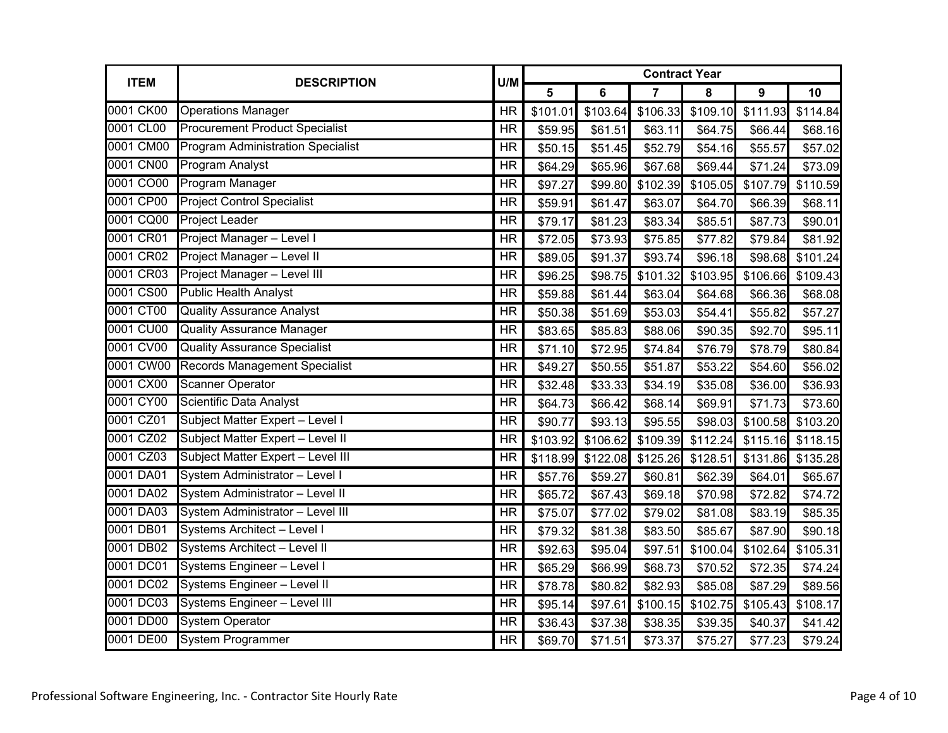|           | <b>ITEM</b><br>U/M<br><b>DESCRIPTION</b> |           | <b>Contract Year</b> |          |                |          |          |          |  |  |
|-----------|------------------------------------------|-----------|----------------------|----------|----------------|----------|----------|----------|--|--|
|           |                                          |           | 5                    | 6        | $\overline{7}$ | 8        | 9        | 10       |  |  |
| 0001 CK00 | <b>Operations Manager</b>                | <b>HR</b> | \$101.01             | \$103.64 | \$106.33       | \$109.10 | \$111.93 | \$114.84 |  |  |
| 0001 CL00 | <b>Procurement Product Specialist</b>    | <b>HR</b> | \$59.95              | \$61.51  | \$63.11        | \$64.75  | \$66.44  | \$68.16  |  |  |
| 0001 CM00 | <b>Program Administration Specialist</b> | <b>HR</b> | \$50.15              | \$51.45  | \$52.79        | \$54.16  | \$55.57  | \$57.02  |  |  |
| 0001 CN00 | <b>Program Analyst</b>                   | <b>HR</b> | \$64.29              | \$65.96  | \$67.68        | \$69.44  | \$71.24  | \$73.09  |  |  |
| 0001 CO00 | <b>Program Manager</b>                   | <b>HR</b> | \$97.27              | \$99.80  | \$102.39       | \$105.05 | \$107.79 | \$110.59 |  |  |
| 0001 CP00 | <b>Project Control Specialist</b>        | <b>HR</b> | \$59.91              | \$61.47  | \$63.07        | \$64.70  | \$66.39  | \$68.11  |  |  |
| 0001 CQ00 | <b>Project Leader</b>                    | <b>HR</b> | \$79.17              | \$81.23  | \$83.34        | \$85.51  | \$87.73  | \$90.01  |  |  |
| 0001 CR01 | Project Manager - Level I                | <b>HR</b> | \$72.05              | \$73.93  | \$75.85        | \$77.82  | \$79.84  | \$81.92  |  |  |
| 0001 CR02 | Project Manager - Level II               | <b>HR</b> | \$89.05              | \$91.37  | \$93.74        | \$96.18  | \$98.68  | \$101.24 |  |  |
| 0001 CR03 | Project Manager - Level III              | <b>HR</b> | \$96.25              | \$98.75  | \$101.32       | \$103.95 | \$106.66 | \$109.43 |  |  |
| 0001 CS00 | <b>Public Health Analyst</b>             | <b>HR</b> | \$59.88              | \$61.44  | \$63.04        | \$64.68  | \$66.36  | \$68.08  |  |  |
| 0001 CT00 | <b>Quality Assurance Analyst</b>         | <b>HR</b> | \$50.38              | \$51.69  | \$53.03        | \$54.41  | \$55.82  | \$57.27  |  |  |
| 0001 CU00 | <b>Quality Assurance Manager</b>         | <b>HR</b> | \$83.65              | \$85.83  | \$88.06        | \$90.35  | \$92.70  | \$95.11  |  |  |
| 0001 CV00 | <b>Quality Assurance Specialist</b>      | <b>HR</b> | \$71.10              | \$72.95  | \$74.84        | \$76.79  | \$78.79  | \$80.84  |  |  |
| 0001 CW00 | <b>Records Management Specialist</b>     | <b>HR</b> | \$49.27              | \$50.55  | \$51.87        | \$53.22  | \$54.60  | \$56.02  |  |  |
| 0001 CX00 | <b>Scanner Operator</b>                  | <b>HR</b> | \$32.48              | \$33.33  | \$34.19        | \$35.08  | \$36.00  | \$36.93  |  |  |
| 0001 CY00 | Scientific Data Analyst                  | <b>HR</b> | \$64.73              | \$66.42  | \$68.14        | \$69.91  | \$71.73  | \$73.60  |  |  |
| 0001 CZ01 | Subject Matter Expert - Level I          | <b>HR</b> | \$90.77              | \$93.13  | \$95.55        | \$98.03  | \$100.58 | \$103.20 |  |  |
| 0001 CZ02 | Subject Matter Expert - Level II         | <b>HR</b> | \$103.92             | \$106.62 | \$109.39       | \$112.24 | \$115.16 | \$118.15 |  |  |
| 0001 CZ03 | Subject Matter Expert - Level III        | <b>HR</b> | \$118.99             | \$122.08 | \$125.26       | \$128.51 | \$131.86 | \$135.28 |  |  |
| 0001 DA01 | System Administrator - Level I           | <b>HR</b> | \$57.76              | \$59.27  | \$60.81        | \$62.39  | \$64.01  | \$65.67  |  |  |
| 0001 DA02 | System Administrator - Level II          | <b>HR</b> | \$65.72              | \$67.43  | \$69.18        | \$70.98  | \$72.82  | \$74.72  |  |  |
| 0001 DA03 | System Administrator - Level III         | <b>HR</b> | \$75.07              | \$77.02  | \$79.02        | \$81.08  | \$83.19  | \$85.35  |  |  |
| 0001 DB01 | Systems Architect - Level I              | <b>HR</b> | \$79.32              | \$81.38  | \$83.50        | \$85.67  | \$87.90  | \$90.18  |  |  |
| 0001 DB02 | Systems Architect - Level II             | <b>HR</b> | \$92.63              | \$95.04  | \$97.51        | \$100.04 | \$102.64 | \$105.31 |  |  |
| 0001 DC01 | Systems Engineer - Level I               | <b>HR</b> | \$65.29              | \$66.99  | \$68.73        | \$70.52  | \$72.35  | \$74.24  |  |  |
| 0001 DC02 | Systems Engineer - Level II              | <b>HR</b> | \$78.78              | \$80.82  | \$82.93        | \$85.08  | \$87.29  | \$89.56  |  |  |
| 0001 DC03 | Systems Engineer - Level III             | <b>HR</b> | \$95.14              | \$97.61  | \$100.15       | \$102.75 | \$105.43 | \$108.17 |  |  |
| 0001 DD00 | <b>System Operator</b>                   | <b>HR</b> | \$36.43              | \$37.38  | \$38.35        | \$39.35  | \$40.37  | \$41.42  |  |  |
| 0001 DE00 | <b>System Programmer</b>                 | <b>HR</b> | \$69.70              | \$71.51  | \$73.37        | \$75.27  | \$77.23  | \$79.24  |  |  |